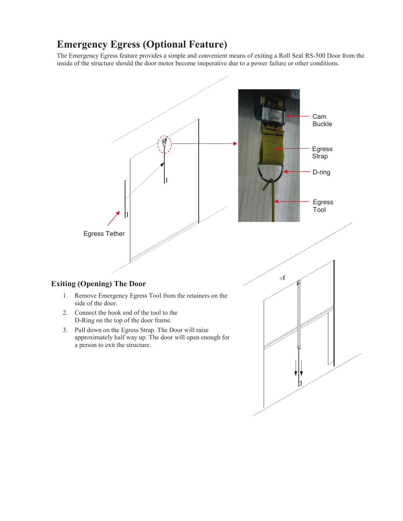## **Emergency Egress (Optional Feature)**

The Emergency Egress feature provides a simple and convenient means of exiting a Roll Seal RS-500 Door from the inside of the structure should the door motor become inoperative due to a power failure or other conditions.